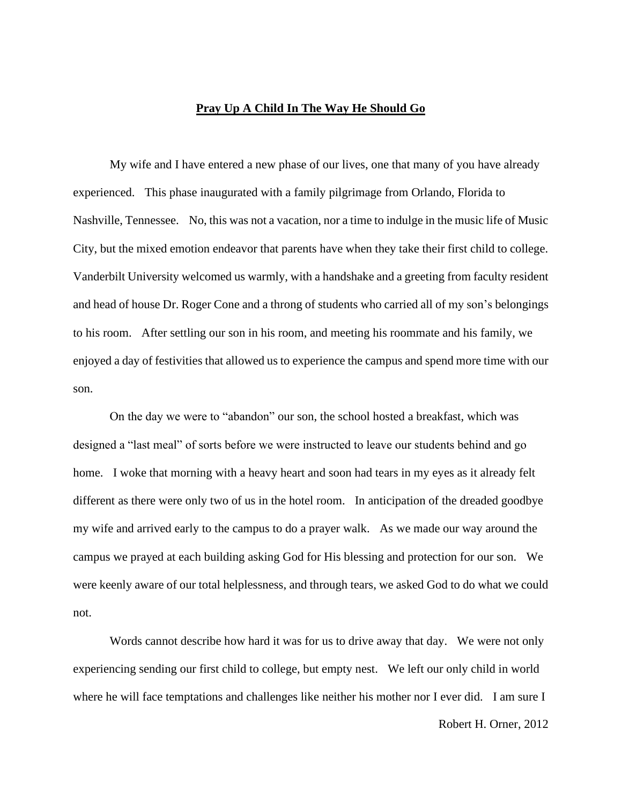## **Pray Up A Child In The Way He Should Go**

My wife and I have entered a new phase of our lives, one that many of you have already experienced. This phase inaugurated with a family pilgrimage from Orlando, Florida to Nashville, Tennessee. No, this was not a vacation, nor a time to indulge in the music life of Music City, but the mixed emotion endeavor that parents have when they take their first child to college. Vanderbilt University welcomed us warmly, with a handshake and a greeting from faculty resident and head of house Dr. Roger Cone and a throng of students who carried all of my son's belongings to his room. After settling our son in his room, and meeting his roommate and his family, we enjoyed a day of festivities that allowed us to experience the campus and spend more time with our son.

On the day we were to "abandon" our son, the school hosted a breakfast, which was designed a "last meal" of sorts before we were instructed to leave our students behind and go home. I woke that morning with a heavy heart and soon had tears in my eyes as it already felt different as there were only two of us in the hotel room. In anticipation of the dreaded goodbye my wife and arrived early to the campus to do a prayer walk. As we made our way around the campus we prayed at each building asking God for His blessing and protection for our son. We were keenly aware of our total helplessness, and through tears, we asked God to do what we could not.

Words cannot describe how hard it was for us to drive away that day. We were not only experiencing sending our first child to college, but empty nest. We left our only child in world where he will face temptations and challenges like neither his mother nor I ever did. I am sure I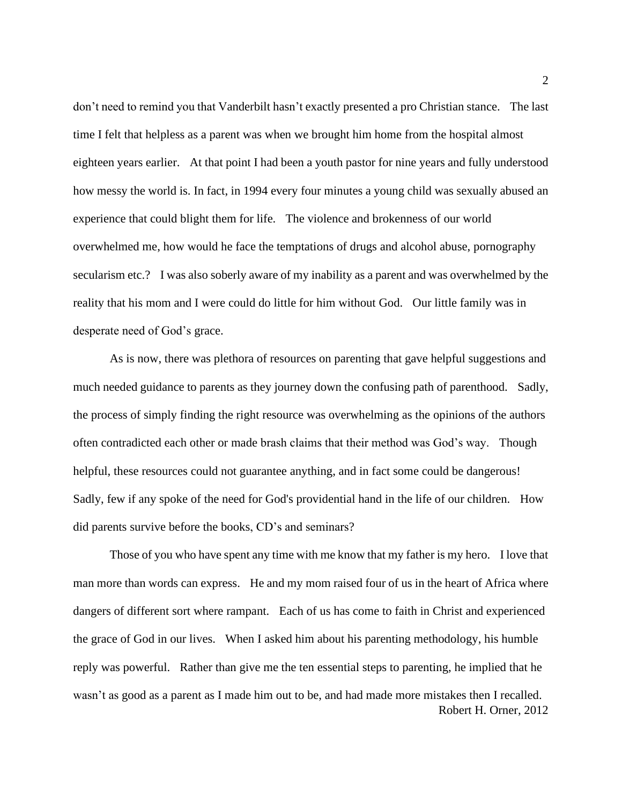don't need to remind you that Vanderbilt hasn't exactly presented a pro Christian stance. The last time I felt that helpless as a parent was when we brought him home from the hospital almost eighteen years earlier. At that point I had been a youth pastor for nine years and fully understood how messy the world is. In fact, in 1994 every four minutes a young child was sexually abused an experience that could blight them for life. The violence and brokenness of our world overwhelmed me, how would he face the temptations of drugs and alcohol abuse, pornography secularism etc.? I was also soberly aware of my inability as a parent and was overwhelmed by the reality that his mom and I were could do little for him without God. Our little family was in desperate need of God's grace.

As is now, there was plethora of resources on parenting that gave helpful suggestions and much needed guidance to parents as they journey down the confusing path of parenthood. Sadly, the process of simply finding the right resource was overwhelming as the opinions of the authors often contradicted each other or made brash claims that their method was God's way. Though helpful, these resources could not guarantee anything, and in fact some could be dangerous! Sadly, few if any spoke of the need for God's providential hand in the life of our children. How did parents survive before the books, CD's and seminars?

Robert H. Orner, 2012 Those of you who have spent any time with me know that my father is my hero. I love that man more than words can express. He and my mom raised four of us in the heart of Africa where dangers of different sort where rampant. Each of us has come to faith in Christ and experienced the grace of God in our lives. When I asked him about his parenting methodology, his humble reply was powerful. Rather than give me the ten essential steps to parenting, he implied that he wasn't as good as a parent as I made him out to be, and had made more mistakes then I recalled.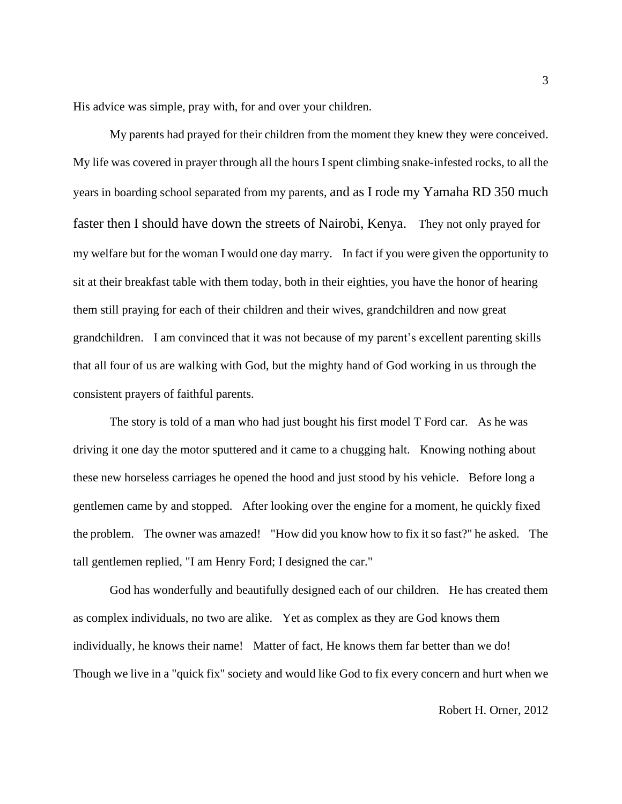His advice was simple, pray with, for and over your children.

My parents had prayed for their children from the moment they knew they were conceived. My life was covered in prayer through all the hours I spent climbing snake-infested rocks, to all the years in boarding school separated from my parents, and as I rode my Yamaha RD 350 much faster then I should have down the streets of Nairobi, Kenya. They not only prayed for my welfare but for the woman I would one day marry. In fact if you were given the opportunity to sit at their breakfast table with them today, both in their eighties, you have the honor of hearing them still praying for each of their children and their wives, grandchildren and now great grandchildren. I am convinced that it was not because of my parent's excellent parenting skills that all four of us are walking with God, but the mighty hand of God working in us through the consistent prayers of faithful parents.

The story is told of a man who had just bought his first model T Ford car. As he was driving it one day the motor sputtered and it came to a chugging halt. Knowing nothing about these new horseless carriages he opened the hood and just stood by his vehicle. Before long a gentlemen came by and stopped. After looking over the engine for a moment, he quickly fixed the problem. The owner was amazed! "How did you know how to fix it so fast?" he asked. The tall gentlemen replied, "I am Henry Ford; I designed the car."

God has wonderfully and beautifully designed each of our children. He has created them as complex individuals, no two are alike. Yet as complex as they are God knows them individually, he knows their name! Matter of fact, He knows them far better than we do! Though we live in a "quick fix" society and would like God to fix every concern and hurt when we

Robert H. Orner, 2012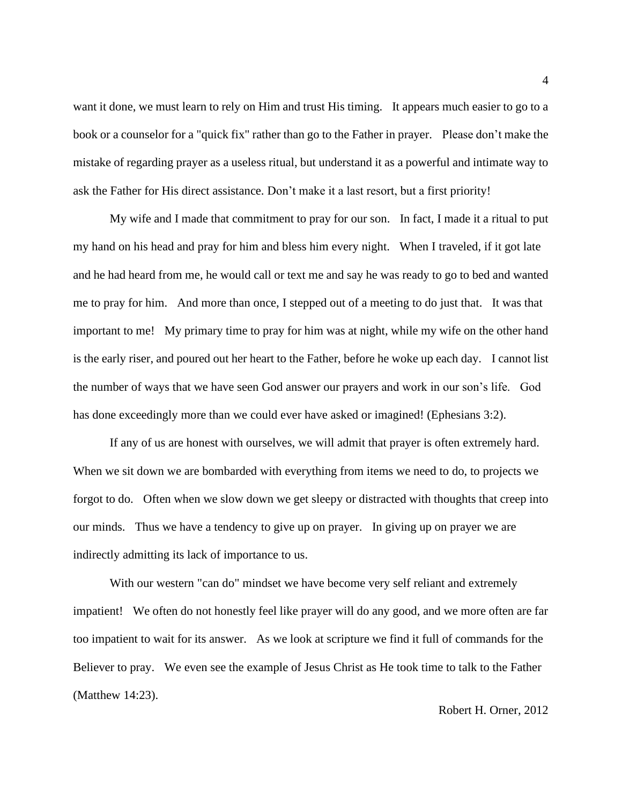want it done, we must learn to rely on Him and trust His timing. It appears much easier to go to a book or a counselor for a "quick fix" rather than go to the Father in prayer. Please don't make the mistake of regarding prayer as a useless ritual, but understand it as a powerful and intimate way to ask the Father for His direct assistance. Don't make it a last resort, but a first priority!

My wife and I made that commitment to pray for our son. In fact, I made it a ritual to put my hand on his head and pray for him and bless him every night. When I traveled, if it got late and he had heard from me, he would call or text me and say he was ready to go to bed and wanted me to pray for him. And more than once, I stepped out of a meeting to do just that. It was that important to me! My primary time to pray for him was at night, while my wife on the other hand is the early riser, and poured out her heart to the Father, before he woke up each day. I cannot list the number of ways that we have seen God answer our prayers and work in our son's life. God has done exceedingly more than we could ever have asked or imagined! (Ephesians 3:2).

If any of us are honest with ourselves, we will admit that prayer is often extremely hard. When we sit down we are bombarded with everything from items we need to do, to projects we forgot to do. Often when we slow down we get sleepy or distracted with thoughts that creep into our minds. Thus we have a tendency to give up on prayer. In giving up on prayer we are indirectly admitting its lack of importance to us.

With our western "can do" mindset we have become very self reliant and extremely impatient! We often do not honestly feel like prayer will do any good, and we more often are far too impatient to wait for its answer. As we look at scripture we find it full of commands for the Believer to pray. We even see the example of Jesus Christ as He took time to talk to the Father (Matthew 14:23).

Robert H. Orner, 2012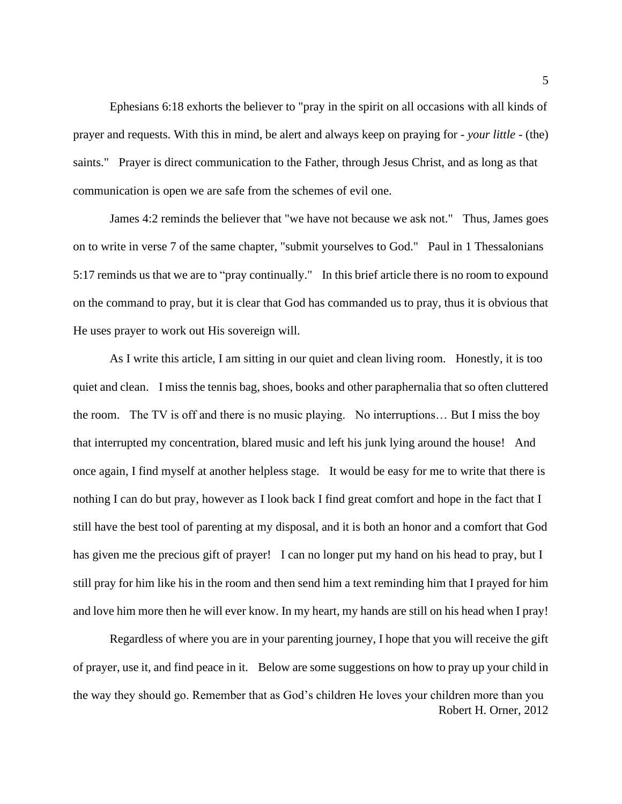Ephesians 6:18 exhorts the believer to "pray in the spirit on all occasions with all kinds of prayer and requests. With this in mind, be alert and always keep on praying for - *your little* - (the) saints." Prayer is direct communication to the Father, through Jesus Christ, and as long as that communication is open we are safe from the schemes of evil one.

James 4:2 reminds the believer that "we have not because we ask not." Thus, James goes on to write in verse 7 of the same chapter, "submit yourselves to God." Paul in 1 Thessalonians 5:17 reminds us that we are to "pray continually." In this brief article there is no room to expound on the command to pray, but it is clear that God has commanded us to pray, thus it is obvious that He uses prayer to work out His sovereign will.

As I write this article, I am sitting in our quiet and clean living room. Honestly, it is too quiet and clean. I miss the tennis bag, shoes, books and other paraphernalia that so often cluttered the room. The TV is off and there is no music playing. No interruptions… But I miss the boy that interrupted my concentration, blared music and left his junk lying around the house! And once again, I find myself at another helpless stage. It would be easy for me to write that there is nothing I can do but pray, however as I look back I find great comfort and hope in the fact that I still have the best tool of parenting at my disposal, and it is both an honor and a comfort that God has given me the precious gift of prayer! I can no longer put my hand on his head to pray, but I still pray for him like his in the room and then send him a text reminding him that I prayed for him and love him more then he will ever know. In my heart, my hands are still on his head when I pray!

Robert H. Orner, 2012 Regardless of where you are in your parenting journey, I hope that you will receive the gift of prayer, use it, and find peace in it. Below are some suggestions on how to pray up your child in the way they should go. Remember that as God's children He loves your children more than you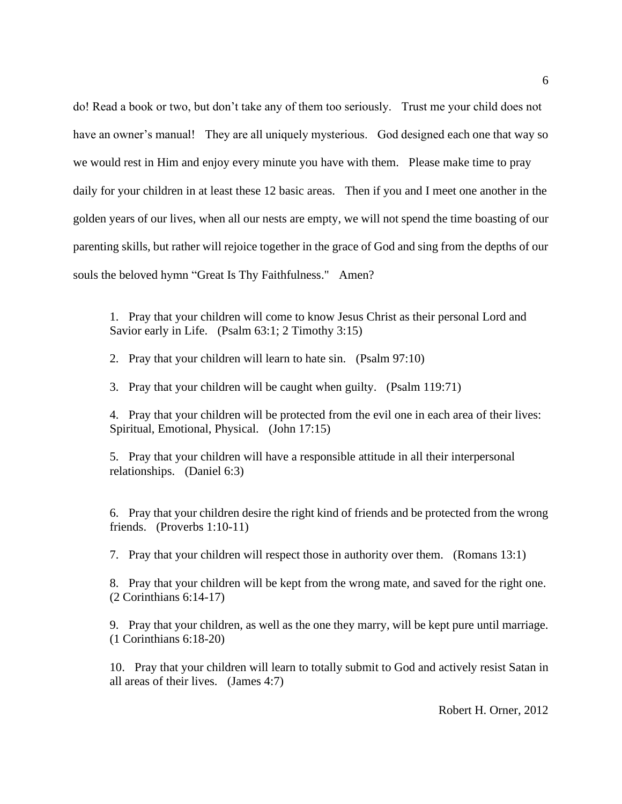do! Read a book or two, but don't take any of them too seriously. Trust me your child does not have an owner's manual! They are all uniquely mysterious. God designed each one that way so we would rest in Him and enjoy every minute you have with them. Please make time to pray daily for your children in at least these 12 basic areas. Then if you and I meet one another in the golden years of our lives, when all our nests are empty, we will not spend the time boasting of our parenting skills, but rather will rejoice together in the grace of God and sing from the depths of our souls the beloved hymn "Great Is Thy Faithfulness." Amen?

1. Pray that your children will come to know Jesus Christ as their personal Lord and Savior early in Life. (Psalm 63:1; 2 Timothy 3:15)

2. Pray that your children will learn to hate sin. (Psalm 97:10)

3. Pray that your children will be caught when guilty. (Psalm 119:71)

4. Pray that your children will be protected from the evil one in each area of their lives: Spiritual, Emotional, Physical. (John 17:15)

5. Pray that your children will have a responsible attitude in all their interpersonal relationships. (Daniel 6:3)

6. Pray that your children desire the right kind of friends and be protected from the wrong friends. (Proverbs 1:10-11)

7. Pray that your children will respect those in authority over them. (Romans 13:1)

8. Pray that your children will be kept from the wrong mate, and saved for the right one. (2 Corinthians 6:14-17)

9. Pray that your children, as well as the one they marry, will be kept pure until marriage. (1 Corinthians 6:18-20)

10. Pray that your children will learn to totally submit to God and actively resist Satan in all areas of their lives. (James 4:7)

Robert H. Orner, 2012